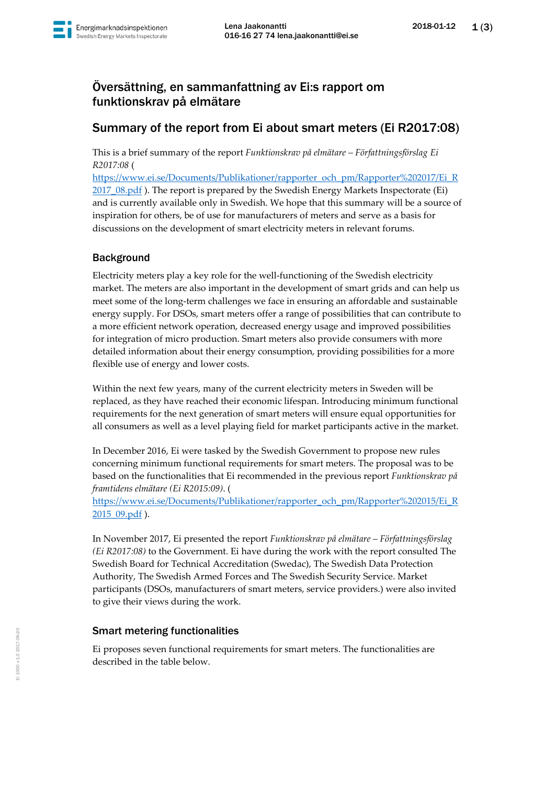

# Översättning, en sammanfattning av Ei:s rapport om funktionskrav på elmätare

## Summary of the report from Ei about smart meters (Ei R2017:08)

This is a brief summary of the report *Funktionskrav på elmätare – Författningsförslag Ei R2017:08* (

[https://www.ei.se/Documents/Publikationer/rapporter\\_och\\_pm/Rapporter%202017/Ei\\_R](https://www.ei.se/Documents/Publikationer/rapporter_och_pm/Rapporter%202017/Ei_R2017_08.pdf) 2017 08.pdf ). The report is prepared by the Swedish Energy Markets Inspectorate (Ei) and is currently available only in Swedish. We hope that this summary will be a source of inspiration for others, be of use for manufacturers of meters and serve as a basis for discussions on the development of smart electricity meters in relevant forums.

## Background

Electricity meters play a key role for the well-functioning of the Swedish electricity market. The meters are also important in the development of smart grids and can help us meet some of the long-term challenges we face in ensuring an affordable and sustainable energy supply. For DSOs, smart meters offer a range of possibilities that can contribute to a more efficient network operation, decreased energy usage and improved possibilities for integration of micro production. Smart meters also provide consumers with more detailed information about their energy consumption, providing possibilities for a more flexible use of energy and lower costs.

Within the next few years, many of the current electricity meters in Sweden will be replaced, as they have reached their economic lifespan. Introducing minimum functional requirements for the next generation of smart meters will ensure equal opportunities for all consumers as well as a level playing field for market participants active in the market.

In December 2016, Ei were tasked by the Swedish Government to propose new rules concerning minimum functional requirements for smart meters. The proposal was to be based on the functionalities that Ei recommended in the previous report *Funktionskrav på framtidens elmätare (Ei R2015:09)*. (

[https://www.ei.se/Documents/Publikationer/rapporter\\_och\\_pm/Rapporter%202015/Ei\\_R](https://www.ei.se/Documents/Publikationer/rapporter_och_pm/Rapporter%202015/Ei_R2015_09.pdf) [2015\\_09.pdf](https://www.ei.se/Documents/Publikationer/rapporter_och_pm/Rapporter%202015/Ei_R2015_09.pdf) ).

In November 2017, Ei presented the report *Funktionskrav på elmätare – Författningsförslag (Ei R2017:08)* to the Government. Ei have during the work with the report consulted The Swedish Board for Technical Accreditation (Swedac), The Swedish Data Protection Authority, The Swedish Armed Forces and The Swedish Security Service. Market participants (DSOs, manufacturers of smart meters, service providers.) were also invited to give their views during the work.

#### Smart metering functionalities

Ei proposes seven functional requirements for smart meters. The functionalities are described in the table below.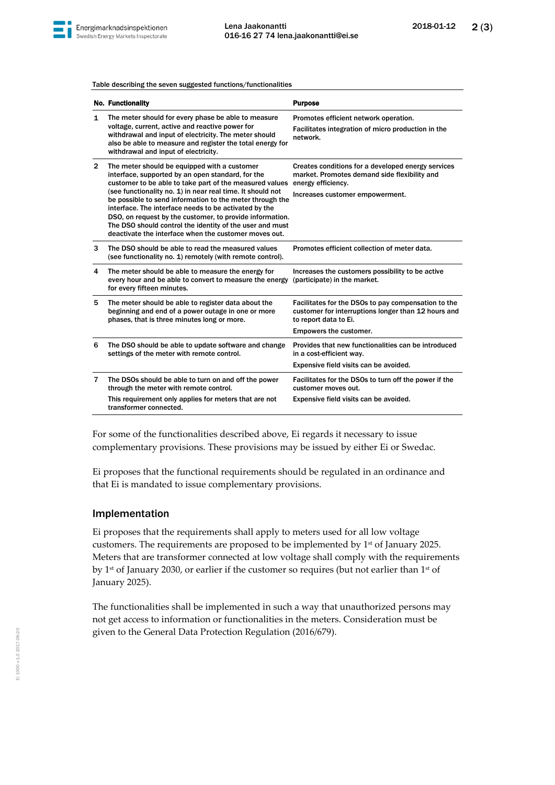

Table describing the seven suggested functions/functionalities

|                | <b>No. Functionality</b>                                                                                                                                                                                                                                                                                                                                                                                                                                                                                                         | <b>Purpose</b>                                                                                                                                                |
|----------------|----------------------------------------------------------------------------------------------------------------------------------------------------------------------------------------------------------------------------------------------------------------------------------------------------------------------------------------------------------------------------------------------------------------------------------------------------------------------------------------------------------------------------------|---------------------------------------------------------------------------------------------------------------------------------------------------------------|
| 1              | The meter should for every phase be able to measure<br>voltage, current, active and reactive power for<br>withdrawal and input of electricity. The meter should<br>also be able to measure and register the total energy for<br>withdrawal and input of electricity.                                                                                                                                                                                                                                                             | Promotes efficient network operation.<br>Facilitates integration of micro production in the<br>network.                                                       |
| $\overline{2}$ | The meter should be equipped with a customer<br>interface, supported by an open standard, for the<br>customer to be able to take part of the measured values<br>(see functionality no. 1) in near real time. It should not<br>be possible to send information to the meter through the<br>interface. The interface needs to be activated by the<br>DSO, on request by the customer, to provide information.<br>The DSO should control the identity of the user and must<br>deactivate the interface when the customer moves out. | Creates conditions for a developed energy services<br>market. Promotes demand side flexibility and<br>energy efficiency.<br>Increases customer empowerment.   |
| 3              | The DSO should be able to read the measured values<br>(see functionality no. 1) remotely (with remote control).                                                                                                                                                                                                                                                                                                                                                                                                                  | Promotes efficient collection of meter data.                                                                                                                  |
| 4              | The meter should be able to measure the energy for<br>every hour and be able to convert to measure the energy<br>for every fifteen minutes.                                                                                                                                                                                                                                                                                                                                                                                      | Increases the customers possibility to be active<br>(participate) in the market.                                                                              |
| 5              | The meter should be able to register data about the<br>beginning and end of a power outage in one or more<br>phases, that is three minutes long or more.                                                                                                                                                                                                                                                                                                                                                                         | Facilitates for the DSOs to pay compensation to the<br>customer for interruptions longer than 12 hours and<br>to report data to Ei.<br>Empowers the customer. |
| 6              | The DSO should be able to update software and change<br>settings of the meter with remote control.                                                                                                                                                                                                                                                                                                                                                                                                                               | Provides that new functionalities can be introduced<br>in a cost-efficient way.<br>Expensive field visits can be avoided.                                     |
| $\overline{7}$ | The DSOs should be able to turn on and off the power<br>through the meter with remote control.                                                                                                                                                                                                                                                                                                                                                                                                                                   | Facilitates for the DSOs to turn off the power if the<br>customer moves out.                                                                                  |
|                | This requirement only applies for meters that are not<br>transformer connected.                                                                                                                                                                                                                                                                                                                                                                                                                                                  | Expensive field visits can be avoided.                                                                                                                        |

For some of the functionalities described above, Ei regards it necessary to issue complementary provisions. These provisions may be issued by either Ei or Swedac.

Ei proposes that the functional requirements should be regulated in an ordinance and that Ei is mandated to issue complementary provisions.

#### Implementation

Ei proposes that the requirements shall apply to meters used for all low voltage customers. The requirements are proposed to be implemented by 1st of January 2025. Meters that are transformer connected at low voltage shall comply with the requirements by 1<sup>st</sup> of January 2030, or earlier if the customer so requires (but not earlier than 1<sup>st</sup> of January 2025).

The functionalities shall be implemented in such a way that unauthorized persons may not get access to information or functionalities in the meters. Consideration must be given to the General Data Protection Regulation (2016/679).